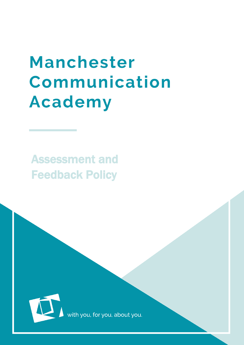# **Manchester** Communication **Academy**

Assessment and Feedback Policy



with you, for you, about you.

MCA  $\sim$  MCA  $\sim$  MCA  $\sim$  MCA  $\sim$  MCA  $\sim$  MCA  $\sim$  MCA  $\sim$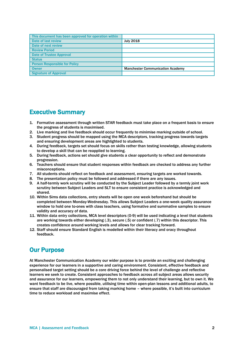| This document has been approved for operation within |                                         |
|------------------------------------------------------|-----------------------------------------|
| Date of last review                                  | <b>July 2018</b>                        |
| Date of next review                                  |                                         |
| <b>Review Period</b>                                 |                                         |
| <b>Date of Trustee Approval</b>                      |                                         |
| <b>Status</b>                                        |                                         |
| <b>Person Responsible for Policy</b>                 |                                         |
| <b>Owner</b>                                         | <b>Manchester Communication Academy</b> |
| <b>Signature of Approval</b>                         |                                         |

## Executive Summary

- 1. Formative assessment through written STAR feedback must take place on a frequent basis to ensure the progress of students is maximised.
- 2. Live marking and live feedback should occur frequently to minimise marking outside of school.
- 3. Student progress should be mapped using the MCA descriptors, tracking progress towards targets and ensuring development areas are highlighted to students.
- 4. During feedback, targets set should focus on skills rather than testing knowledge, allowing students to develop a skill that can be reapplied to learning.
- 5. During feedback, actions set should give students a clear opportunity to reflect and demonstrate progression.
- 6. Teachers should ensure that student responses within feedback are checked to address any further misconceptions.
- 7. All students should reflect on feedback and assessment, ensuring targets are worked towards.
- 8. The presentation policy must be followed and addressed if there are any issues.
- 9. A half-termly work scrutiny will be conducted by the Subject Leader followed by a termly joint work scrutiny between Subject Leaders and SLT to ensure consistent practice is acknowledged and shared.
- 10. Within Sims data collections, entry sheets will be open one week beforehand but should be completed between Monday-Wednesday. This allows Subject Leaders a one-week quality assurance window to hold one to-ones with class teachers, using formative and summative samples to ensure validity and accuracy of data.
- 11. Within data entry collections, MCA level descriptors (0-9) will be used indicating a level that students are working towards either developing (.3), secure (.5) or confident (.7) within this descriptor. This creates confidence around working levels and allows for clear tracking forward.
- 12. Staff should ensure Standard English is modelled within their literacy and oracy throughout feedback.

# Our Purpose

At Manchester Communication Academy our wider purpose is to provide an exciting and challenging experience for our learners in a supportive and caring environment. Consistent, effective feedback and personalised target setting should be a core driving force behind the level of challenge and reflective learners we seek to create. Consistent approaches to feedback across all subject areas allows security and assurance for our learners, empowering them to not only understand their learning, but to own it. We want feedback to be live, where possible, utilising time within open-plan lessons and additional adults, to ensure that staff are discouraged from taking marking home – where possible, it's built into curriculum time to reduce workload and maximise effect.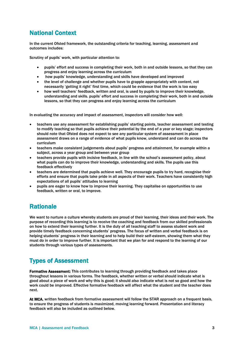# National Context

In the current Ofsted framework, the outstanding criteria for teaching, learning, assessment and outcomes includes:

Scrutiny of pupils' work, with particular attention to:

- pupils' effort and success in completing their work, both in and outside lessons, so that they can progress and enjoy learning across the curriculum
- how pupils' knowledge, understanding and skills have developed and improved
- the level of challenge and whether pupils have to grapple appropriately with content, not necessarily 'getting it right' first time, which could be evidence that the work is too easy
- how well teachers' feedback, written and oral, is used by pupils to improve their knowledge, understanding and skills. pupils' effort and success in completing their work, both in and outside lessons, so that they can progress and enjoy learning across the curriculum

In evaluating the accuracy and impact of assessment, inspectors will consider how well:

- teachers use any assessment for establishing pupils' starting points, teacher assessment and testing to modify teaching so that pupils achieve their potential by the end of a year or key stage; inspectors should note that Ofsted does not expect to see any particular system of assessment in place assessment draws on a range of evidence of what pupils know, understand and can do across the curriculum
- teachers make consistent judgements about pupils' progress and attainment, for example within a subject, across a year group and between year group
- teachers provide pupils with incisive feedback, in line with the school's assessment policy, about what pupils can do to improve their knowledge, understanding and skills. The pupils use this feedback effectively
- teachers are determined that pupils achieve well. They encourage pupils to try hard, recognise their efforts and ensure that pupils take pride in all aspects of their work. Teachers have consistently high expectations of all pupils' attitudes to learning
- pupils are eager to know how to improve their learning. They capitalise on opportunities to use feedback, written or oral, to improve.

# **Rationale**

We want to nurture a culture whereby students are proud of their learning, their ideas and their work. The purpose of recording this learning is to receive the coaching and feedback from our skilled professionals on how to extend their learning further. It is the duty of all teaching staff to assess student work and provide timely feedback concerning students' progress. The focus of written and verbal feedback is on helping students' progress in their learning and to help build their self-esteem, showing them what they must do in order to improve further. It is important that we plan for and respond to the learning of our students through various types of assessments.

# Types of Assessment

Formative Assessment: This contributes to learning through providing feedback and takes place throughout lessons in various forms. The feedback, whether written or verbal should indicate what is good about a piece of work and why this is good; it should also indicate what is not so good and how the work could be improved. Effective formative feedback will affect what the student and the teacher does next.

At MCA, written feedback from formative assessment will follow the STAR approach on a frequent basis, to ensure the progress of students is maximized, moving learning forward. Presentation and literacy feedback will also be included as outlined below.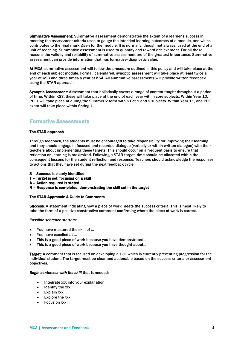Summative Assessment: Summative assessment demonstrates the extent of a learner's success in meeting the assessment criteria used to gauge the intended learning outcomes of a module, and which contributes to the final mark given for the module. It is normally, though not always, used at the end of a unit of teaching. Summative assessment is used to quantify and reward achievement. For all these reasons the validity and reliability of summative assessment are of the greatest importance. Summative assessment can provide information that has formative/diagnostic value.

At MCA, summative assessment will follow the procedure outlined in this policy and will take place at the end of each subject module. Formal, calendared, synoptic assessment will take place at least twice a year at KS3 and three times a year at KS4. All summative assessments will provide written feedback using the STAR approach.

Synoptic Assessment: Assessment that holistically covers a range of content taught throughout a period of time. Within KS3, these will take place at the end of each year within core subjects. Within Year 10, PPEs will take place at during the Summer 2 term within Pot 1 and 2 subjects. Within Year 11, one PPE exam will take place within Spring 1.

## Formative Assessments

#### The STAR approach

Through feedback, the students must be encouraged to take responsibility for improving their learning and they should engage in focused and recorded dialogue (verbally or within written dialogue) with their teachers about implementing these targets. This should occur on a frequent basis to ensure that reflection on learning is maximized. Following a STAR target, time should be allocated within the consequent lessons for the student reflection and response. Teachers should acknowledge the responses to actions that they have set during the next feedback cycle.

- S Success is clearly identified
- T Target is set, focusing on a skill
- A Action required is stated
- R Response is completed, demonstrating the skill set in the target

#### The STAR Approach: A Guide to Comments

Success: A statement indicating how a piece of work meets the success criteria. This is most likely to take the form of a positive constructive comment confirming where the piece of work is correct.

*Possible sentence starters:* 

- You have mastered the skill of …
- You have excelled at …
- This is a good piece of work because you have demonstrated…
- This is a good piece of work because you have thought about…

Target: A comment that is focused on developing a skill which is currently preventing progression for the individual student. The target must be clear and actionable based on the success criteria or assessment objectives.

#### *Begin sentences with the skill* that is needed:

- Integrate xxx into your explanation …
- $\bullet$  Identify the xxx ...
- Explain xxx …
- Explore the xxx
- Focus on xxx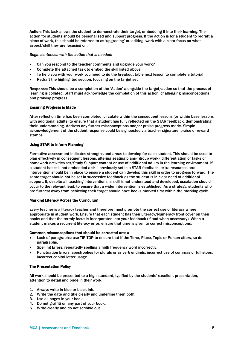Action: This task allows the student to demonstrate their target, embedding it into their learning. The action for students should be personalised and support progress. If the action is for a student to redraft a piece of work, this should be referred to as 'upgrading' or 'editing' work with a clear focus on what aspect/skill they are focusing on.

*Begin sentences with the action that is needed:* 

- Can you respond to the teacher comments and upgrade your work?
- Complete the attached task to embed the skill listed above
- To help you with your work you need to go the breakout table next lesson to complete a tutorial
- Redraft the highlighted section, focusing on the target set

Response: This should be a completion of the 'Action' alongside the target/action so that the process of learning is collated. Staff must acknowledge the completion of this action, challenging misconceptions and praising progress.

#### Ensuring Progress is Made

After reflection time has been completed, circulate within the consequent lessons (or within base lessons with additional adults) to ensure that a student has fully reflected on the STAR feedback, demonstrating their understanding. Address any further misconceptions and/or praise progress made. Simple acknowledgement of the student response could be signposted via teacher signature, praise or reward stamps.

#### Using STAR to Inform Planning

Formative assessment indicates strengths and areas to develop for each student. This should be used to plan effectively in consequent lessons, altering seating plans/ group work/ differentiation of tasks or homework activities set/Study Support content or use of additional adults in the learning environment. If a student has still not embedded a skill previously set in a STAR feedback, extra resources and intervention should be in place to ensure a student can develop this skill in order to progress forward. The same target should not be set in successive feedback as the student is in clear need of additional support. If, despite all teaching interventions, a skill is not understood and developed, escalation should occur to the relevant lead, to ensure that a wider intervention is established. As a strategy, students who are furthest away from achieving their target should have books marked first within the marking cycle.

#### Marking Literacy Across the Curriculum

Every teacher is a literacy teacher and therefore must promote the correct use of literacy where appropriate in student work. Ensure that each student has their Literacy/Numeracy front cover on their books and that the termly focus is incorporated into your feedback (if and when necessary). When a student makes a recurrent literacy error, ensure that time is given to correct misconceptions.

#### Common misconceptions that should be corrected are: o

- Lack of paragraphs: use TIP TOP to ensure that if the TIme, Place, Topic or Person alters, so do paragraphs.
- Spelling Errors: repeatedly spelling a high frequency word incorrectly.
- Punctuation Errors: apostrophes for plurals or as verb endings, incorrect use of commas or full stops, incorrect capital letter usage.

#### The Presentation Policy

All work should be presented to a high standard, typified by the students' excellent presentation, attention to detail and pride in their work.

- 1. Always write in blue or black ink.
- 2. Write the date and title clearly and underline them both.
- 3. Use all pages in your book.
- 4. Do not graffiti on any part of your book.
- 5. Write clearly and do not scribble out.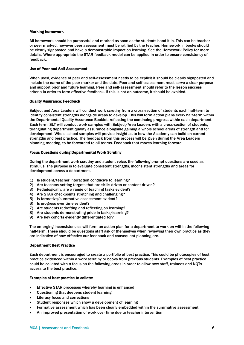#### Marking homework

All homework should be purposeful and marked as soon as the students hand it in. This can be teacher or peer marked, however peer assessment must be ratified by the teacher. Homework in books should be clearly signposted and have a demonstrable impact on learning. See the Homework Policy for more details. Where appropriate the STAR feedback model can be applied in order to ensure consistency of feedback.

#### Use of Peer and Self-Assessment

When used, evidence of peer and self-assessment needs to be explicit it should be clearly signposted and include the name of the peer marker and the date. Peer and self-assessment must serve a clear purpose and support prior and future learning. Peer and self-assessment should refer to the lesson success criteria in order to form effective feedback. If this is not an outcome, it should be avoided.

#### Quality Assurance: Feedback

Subject and Area Leaders will conduct work scrutiny from a cross-section of students each half-term to identify consistent strengths alongside areas to develop. This will form action plans every half-term within the Departmental Quality Assurance Booklet, reflecting the continuing progress within each department. Each term, SLT will conduct work samples with Subject/Area Leaders with a cross-section of students, triangulating department quality assurance alongside gaining a whole school areas of strength and for development. Whole school samples will provide insight as to how the Academy can build on current strengths and best practice. The feedback from this process will be given during the Area Leaders planning meeting, to be forwarded to all teams. Feedback that moves learning forward

#### Focus Questions during Departmental Work Scrutiny

During the department work scrutiny and student voice, the following prompt questions are used as stimulus. The purpose is to evaluate consistent strengths, inconsistent strengths and areas for development across a department.

- 1) Is student/teacher interaction conducive to learning?
- 2) Are teachers setting targets that are skills driven or content driven?
- 3) Pedagogically, are a range of teaching tasks evident?
- 4) Are STAR checkpoints stretching and challenging?
- 5) Is formative/summative assessment evident?
- 6) Is progress over time evident?
- 7) Are students redrafting and reflecting on learning?
- 8) Are students demonstrating pride in tasks/learning?
- 9) Are key cohorts evidently differentiated for?

The emerging inconsistencies will form an action plan for a department to work on within the following half-term. These should be questions staff ask of themselves when reviewing their own practice as they are indicative of how effective our feedback and consequent planning are.

#### Department Best Practice

Each department is encouraged to create a portfolio of best practice. This could be photocopies of best practice evidenced within a work scrutiny or books from previous students. Examples of best practice could be collated with a focus on the following areas in order to allow new staff, trainees and NQTs access to the best practice.

#### Examples of best practice to collate:

- Effective STAR processes whereby learning is enhanced
- Questioning that deepens student learning
- Literacy focus and corrections
- Student responses which show a development of learning
- Formative assessment which has been clearly embedded within the summative assessment
- An improved presentation of work over time due to teacher intervention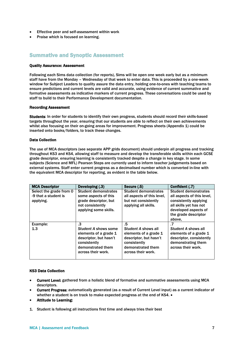- Effective peer and self-assessment within work
- Praise which is focused on learning.

### Summative and Synoptic Assessment

#### Quality Assurance: Assessment

Following each Sims data collection (for reports), Sims will be open one week early but as a minimum staff have from the Monday – Wednesday of that week to enter data. This is proceeded by a one-week window for Subject Leaders to quality assure the data entry, holding one-to-ones with teaching teams to ensure predictions and current levels are valid and accurate, using evidence of current summative and formative assessments as indicative markers of current progress. These conversations could be used by staff to build to their Performance Development documentation.

#### Recording Assessment

Students: In order for students to identify their own progress, students should record their skills-based targets throughout the year, ensuring that our students are able to reflect on their own achievements whilst also focusing on their on-going areas for improvement. Progress sheets (Appendix 1) could be inserted onto books/folders, to track these changes.

#### Data Collection

The use of MCA descriptors (see separate APP grids document) should underpin all progress and tracking throughout KS3 and KS4, allowing staff to measure and develop the transferable skills within each GCSE grade descriptor, ensuring learning is consistently tracked despite a change in key stage. In some subjects (Science and MFL) Pearson Steps are currently used to inform teacher judgements based on external systems. Staff enter current progress as a decimalised number which is converted in-line with the equivalent MCA descriptor for reporting, as evident in the table below.

| <b>MCA Descriptor</b>                                        | Developing (.3)                                                                                                                          | Secure (.5)                                                                                                                             | Confident (.7)                                                                                                                                                         |
|--------------------------------------------------------------|------------------------------------------------------------------------------------------------------------------------------------------|-----------------------------------------------------------------------------------------------------------------------------------------|------------------------------------------------------------------------------------------------------------------------------------------------------------------------|
| Select the grade from 0<br>-9 that a student is<br>applying. | <b>Student demonstrates</b><br>some aspects of this<br>grade descriptor, but<br>not consistently<br>applying some skills.                | <b>Student demonstrates</b><br>all aspects of this level.<br>but not consistently<br>applying all skills.                               | <b>Student demonstrates</b><br>all aspects of this level.<br>consistently applying<br>all skills yet has not<br>developed aspects of<br>the grade descriptor<br>above. |
| Example:<br>1.3                                              | .3<br>Student A shows some<br>elements of a grade 1<br>descriptor, but hasn't<br>consistently<br>demonstrated them<br>across their work. | .5<br>Student A shows all<br>elements of a grade 1<br>descriptor, but hasn't<br>consistently<br>demonstrated them<br>across their work. | .7<br>Student A shows all<br>elements of a grade 1<br>descriptor, consistently<br>demonstrating them<br>across their work.                                             |

#### KS3 Data Collection

- Current Level: gathered from a holistic blend of formative and summative assessments using MCA descriptors.
- Current Progress: automatically generated (as a result of Current Level input) as a current indicator of whether a student is on track to make expected progress at the end of KS4.  $\bullet$
- Attitude to Learning:
- 1. Student is following all instructions first time and always tries their best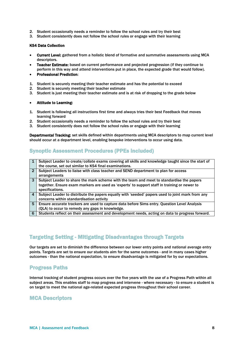- 2. Student occasionally needs a reminder to follow the school rules and try their best
- 3. Student consistently does not follow the school rules or engage with their learning

#### KS4 Data Collection

- Current Level: gathered from a holistic blend of formative and summative assessments using MCA descriptors.
- Teacher Estimate: based on current performance and projected progression (if they continue to perform in this way and attend interventions put in place, the expected grade that would follow).
- Professional Prediction:
- 1. Student is securely meeting their teacher estimate and has the potential to exceed
- 2. Student is securely meeting their teacher estimate
- 3. Student is just meeting their teacher estimate and is at risk of dropping to the grade below

#### Attitude to Learning:

- 1. Student is following all instructions first time and always tries their best Feedback that moves learning forward
- 2. Student occasionally needs a reminder to follow the school rules and try their best
- 3. Student consistently does not follow the school rules or engage with their learning

Departmental Tracking: set skills defined within departments using MCA descriptors to map current level should occur at a department level, enabling bespoke interventions to occur using data.

## Synoptic Assessment Procedures (PPEs included)

| 1              | Subject Leader to create/collate exams covering all skills and knowledge taught since the start of |
|----------------|----------------------------------------------------------------------------------------------------|
|                | the course, set out similar to KS4 final examinations.                                             |
| $\overline{2}$ | Subject Leaders to liaise with class teacher and SEND department to plan for access                |
|                | arrangements                                                                                       |
| 3              | Subject Leader to share the mark scheme with the team and meet to standardise the papers           |
|                | together. Ensure exam markers are used as 'experts' to support staff in training or newer to       |
|                | specifications.                                                                                    |
| $\overline{4}$ | Subject Leader to distribute the papers equally with 'seeded' papers used to joint mark from any   |
|                | concerns within standardisation activity                                                           |
| 5              | Ensure accurate trackers are used to capture data before Sims entry. Question Level Analysis       |
|                | (QLA) to occur to remedy any gaps in knowledge.                                                    |
| 6              | Students reflect on their assessment and development needs, acting on data to progress forward.    |

## Targeting Setting - Mitigating Disadvantages through Targets

Our targets are set to diminish the difference between our lower entry points and national average entry points. Targets are set to ensure our students aim for the same outcomes - and in many cases higher outcomes - than the national expectation, to ensure disadvantage is mitigated for by our expectations.

## Progress Paths

Internal tracking of student progress occurs over the five years with the use of a Progress Path within all subject areas. This enables staff to map progress and intervene - where necessary - to ensure a student is on target to meet the national age-related expected progress throughout their school career.

## MCA Descriptors